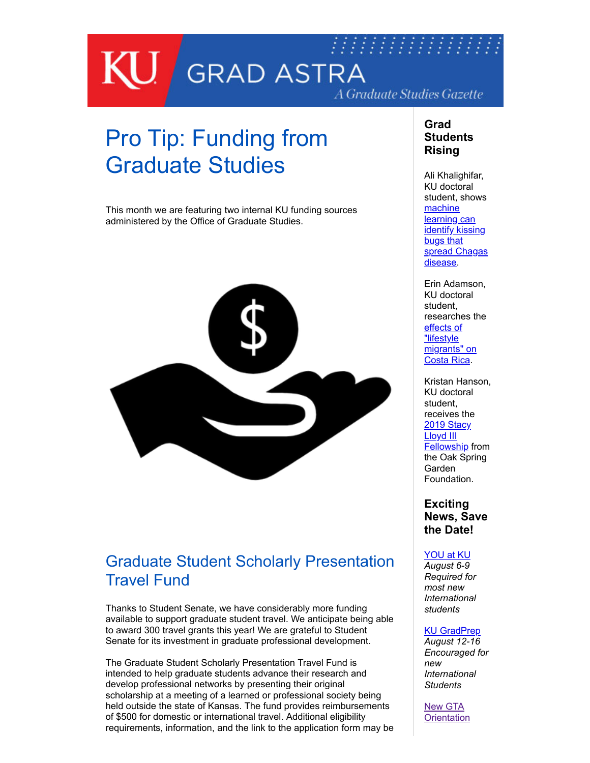

# Pro Tip: Funding from Graduate Studies

This month we are featuring two internal KU funding sources administered by the Office of Graduate Studies.



# Graduate Student Scholarly Presentation Travel Fund

Thanks to Student Senate, we have considerably more funding available to support graduate student travel. We anticipate being able to award 300 travel grants this year! We are grateful to Student Senate for its investment in graduate professional development.

The Graduate Student Scholarly Presentation Travel Fund is intended to help graduate students advance their research and develop professional networks by presenting their original scholarship at a meeting of a learned or professional society being held outside the state of Kansas. The fund provides reimbursements of \$500 for domestic or international travel. Additional eligibility requirements, information, and the link to the application form may be

### **Grad Students Rising**

Ali Khalighifar, KU doctoral student, shows machine learning can **identify kissing** bugs that [spread Chagas](https://medkit.info/2019/06/21/machine-learning-identifies-bugs-that-spread-chagas-disease/) disease.

Erin Adamson, KU doctoral student, researches the effects of "lifestyle [migrants" on](https://news.ku.edu/2019/05/22/doctoral-researcher-examines-american-and-european-lifestyle-migrants-costa-rica) Costa Rica.

Kristan Hanson, KU doctoral student, receives the 2019 Stacy Lloyd III [Fellowship f](https://www.osgf.org/blog/2019/2/12/oak-spring-garden-foundation-announces-2019-fellows-and-artists-in-residence)rom the Oak Spring Garden Foundation.

**Exciting News, Save the Date!** 

### [YOU at KU](https://iss.ku.edu/newly-admitted-orientation)

*August 6-9 Required for most new International students* 

### [KU GradPrep](http://aec.ku.edu/grad-prep-2019)

*August 12-16 Encouraged for new International Students* 

New GTA **[Orientation](https://graduate.ku.edu/gta-gra-ga)**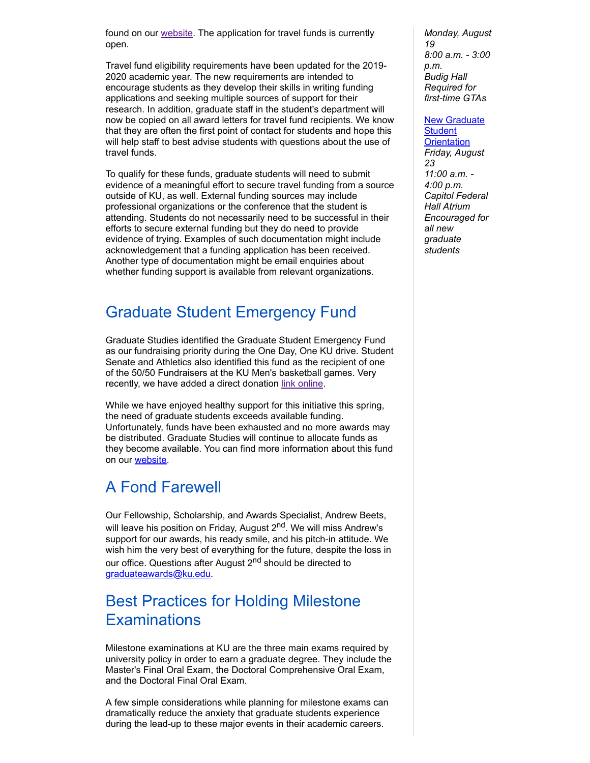found on our [website](http://graduate.ku.edu/graduate-scholarly-presentation-travel-fund). The application for travel funds is currently open.

Travel fund eligibility requirements have been updated for the 2019- 2020 academic year. The new requirements are intended to encourage students as they develop their skills in writing funding applications and seeking multiple sources of support for their research. In addition, graduate staff in the student's department will now be copied on all award letters for travel fund recipients. We know that they are often the first point of contact for students and hope this will help staff to best advise students with questions about the use of travel funds.

To qualify for these funds, graduate students will need to submit evidence of a meaningful effort to secure travel funding from a source outside of KU, as well. External funding sources may include professional organizations or the conference that the student is attending. Students do not necessarily need to be successful in their efforts to secure external funding but they do need to provide evidence of trying. Examples of such documentation might include acknowledgement that a funding application has been received. Another type of documentation might be email enquiries about whether funding support is available from relevant organizations.

### Graduate Student Emergency Fund

Graduate Studies identified the Graduate Student Emergency Fund as our fundraising priority during the One Day, One KU drive. Student Senate and Athletics also identified this fund as the recipient of one of the 50/50 Fundraisers at the KU Men's basketball games. Very recently, we have added a direct donation [link online.](https://securelb.imodules.com/s/1312/giving/interior.aspx?sid=1312&gid=1&pgid=650&cid=1568&bledit=1&dids=1141&appealcode=WDP)

While we have enjoyed healthy support for this initiative this spring, the need of graduate students exceeds available funding. Unfortunately, funds have been exhausted and no more awards may be distributed. Graduate Studies will continue to allocate funds as they become available. You can find more information about this fund on our [website](http://graduate.ku.edu/graduate-student-emergency-fund).

# A Fond Farewell

Our Fellowship, Scholarship, and Awards Specialist, Andrew Beets, will leave his position on Friday, August 2<sup>nd</sup>. We will miss Andrew's support for our awards, his ready smile, and his pitch-in attitude. We wish him the very best of everything for the future, despite the loss in our office. Questions after August 2<sup>nd</sup> should be directed to [graduateawards@ku.edu.](mailto:graduateawards@ku.edu)

# Best Practices for Holding Milestone **Examinations**

Milestone examinations at KU are the three main exams required by university policy in order to earn a graduate degree. They include the Master's Final Oral Exam, the Doctoral Comprehensive Oral Exam, and the Doctoral Final Oral Exam.

A few simple considerations while planning for milestone exams can dramatically reduce the anxiety that graduate students experience during the lead-up to these major events in their academic careers.

*Monday, August 19 8:00 a.m. - 3:00 p.m. Budig Hall Required for first-time GTAs* 

#### [New Graduate](https://graduate.ku.edu/orientation)

**Student Orientation** *Friday, August 23 11:00 a.m. - 4:00 p.m. Capitol Federal Hall Atrium Encouraged for all new graduate students*